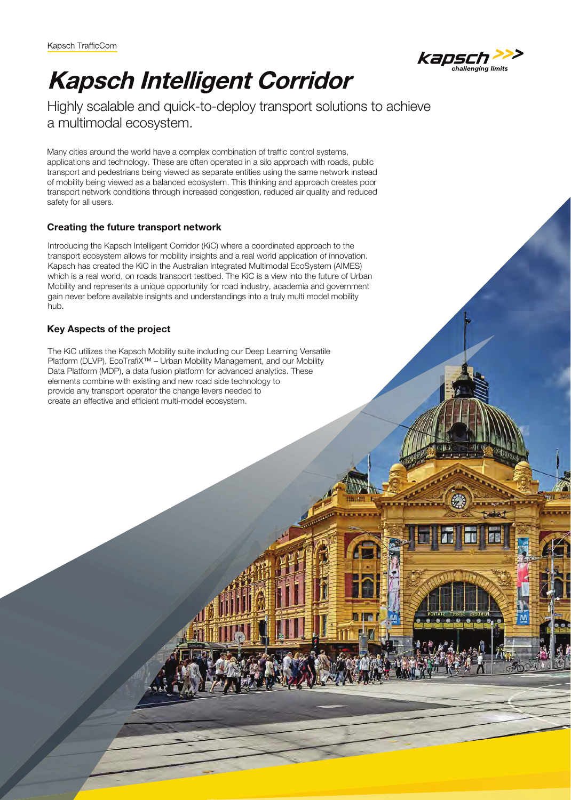

# **Kapsch Intelligent Corridor**

Highly scalable and quick-to-deploy transport solutions to achieve a multimodal ecosystem.

Many cities around the world have a complex combination of traffic control systems, applications and technology. These are often operated in a silo approach with roads, public transport and pedestrians being viewed as separate entities using the same network instead of mobility being viewed as a balanced ecosystem. This thinking and approach creates poor transport network conditions through increased congestion, reduced air quality and reduced safety for all users.

## **Creating the future transport network**

Introducing the Kapsch Intelligent Corridor (KiC) where a coordinated approach to the transport ecosystem allows for mobility insights and a real world application of innovation. Kapsch has created the KiC in the Australian Integrated Multimodal EcoSystem (AIMES) which is a real world, on roads transport testbed. The KiC is a view into the future of Urban Mobility and represents a unique opportunity for road industry, academia and government gain never before available insights and understandings into a truly multi model mobility hub.

#### **Key Aspects of the project**

The KiC utilizes the Kapsch Mobility suite including our Deep Learning Versatile Platform (DLVP), EcoTrafiX<sup>™</sup> – Urban Mobility Management, and our Mobility Data Platform (MDP), a data fusion platform for advanced analytics. These elements combine with existing and new road side technology to provide any transport operator the change levers needed to create an effective and efficient multi-model ecosystem.